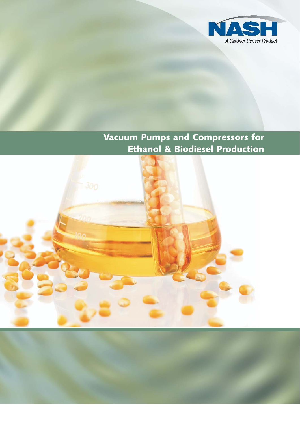

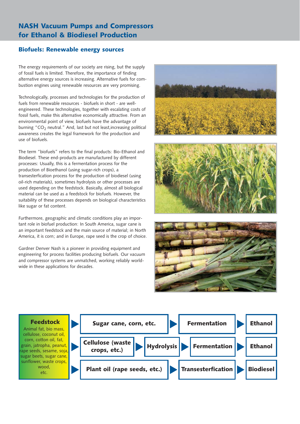### Biofuels: Renewable energy sources

The energy requirements of our society are rising, but the supply of fossil fuels is limited. Therefore, the importance of finding alternative energy sources is increasing. Alternative fuels for combustion engines using renewable resources are very promising.

Technologically, processes and technologies for the production of fuels from renewable resources - biofuels in short - are wellengineered. These technologies, together with escalating costs of fossil fuels, make this alternative economically attractive. From an environmental point of view, biofuels have the advantage of burning " $CO<sub>2</sub>$  neutral." And, last but not least, increasing political awareness creates the legal framework for the production and use of biofuels.

The term "biofuels" refers to the final products: Bio-Ethanol and Biodiesel. These end-products are manufactured by different processes: Usually, this is a fermentation process for the production of Bioethanol (using sugar-rich crops), a transesterfication process for the production of biodiesel (using oil-rich materials), sometimes hydrolysis or other processes are used depending on the feedstock. Basically, almost all biological material can be used as a feedstock for biofuels. However, the suitability of these processes depends on biological characteristics like sugar or fat content.

Furthermore, geographic and climatic conditions play an important role in biofuel production: In South America, sugar cane is an important feedstock and the main source of material; in North America, it is corn; and in Europe, rape seed is the crop of choice.

Gardner Denver Nash is a pioneer in providing equipment and engineering for process facilities producing biofuels. Our vacuum and compressor systems are unmatched, working reliably worldwide in these applications for decades.







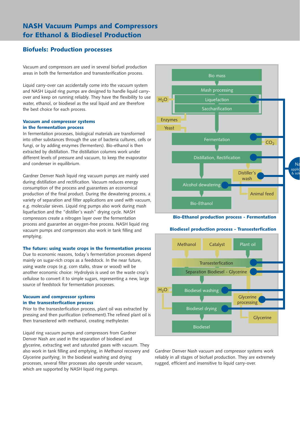### Biofuels: Production processes

Vacuum and compressors are used in several biofuel production areas in both the fermentation and transesterification process.

Liquid carry-over can accidentally come into the vacuum system and NASH Liquid ring pumps are designed to handle liquid carryover and keep on running reliably. They have the flexibility to use water, ethanol, or biodiesel as the seal liquid and are therefore the best choice for each process.

#### Vacuum and compressor systems in the fermentation process

In fermentation processes, biological materials are transformed into other substances through the use of bacteria cultures, cells or fungi, or by adding enzymes (fermenters). Bio-ethanol is then extracted by distillation. The distillation columns work under different levels of pressure and vacuum, to keep the evaporator and condenser in equilibrium.

Gardner Denver Nash liquid ring vacuum pumps are mainly used during distillation and rectification. Vacuum reduces energy consumption of the process and guarantees an economical production of the final product. During the dewatering process, a variety of separation and filter applications are used with vacuum, e.g. molecular sieves. Liquid ring pumps also work during mash liquefaction and the "distiller's wash" drying cycle. NASH compressors create a nitrogen layer over the fermentation process and guarantee an oxygen-free process. NASH liquid ring vacuum pumps and compressors also work in tank filling and emptying.

#### The future: using waste crops in the fermentation process

Due to economic reasons, today's fermentation processes depend mainly on sugar-rich crops as a feedstock. In the near future, using waste crops (e.g. corn stalks, straw or wood) will be another economic choice: Hydrolysis is used on the waste crop's cellulose to convert it to simple sugars, representing a new, large source of feedstock for fermentation processes.

#### Vacuum and compressor systems in the transesterfication process

Prior to the transesterfication process, plant oil was extracted by pressing and then purification (refinement).The refined plant oil is then transestered with methanol, creating methylester.

Liquid ring vacuum pumps and compressors from Gardner Denver Nash are used in the separation of biodiesel and glycerine, extracting wet and saturated gases with vacuum. They also work in tank filling and emptying, in Methanol recovery and Glycerine purifying. In the biodiesel washing and drying processes, several filter processes also operate under vacuum, which are supported by NASH liquid ring pumps.



 $N<sub>c</sub>$ applic & solu

Gardner Denver Nash vacuum and compressor systems work reliably in all stages of biofuel production. They are extremely rugged, efficient and insensitive to liquid carry-over.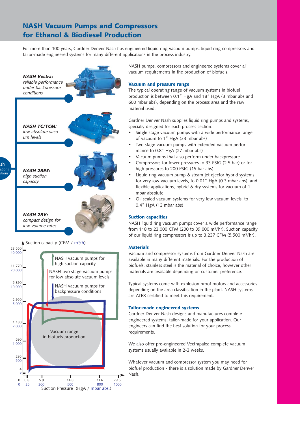For more than 100 years, Gardner Denver Nash has engineered liquid ring vacuum pumps, liquid ring compressors and tailor-made engineered systems for many different applications in the process industry.



NASH pumps, compressors and engineered systems cover all vacuum requirements in the production of biofuels.

#### Vacuum and pressure range

The typical operating range of vacuum systems in biofuel production is between 0.1" HgA and 18" HgA (3 mbar abs and 600 mbar abs), depending on the process area and the raw material used.

Gardner Denver Nash supplies liquid ring pumps and systems, specially designed for each process section:

- Single stage vacuum pumps with a wide performance range of vacuum to 1" HgA (33 mbar abs)
- Two stage vacuum pumps with extended vacuum performance to 0.8" HgA (27 mbar abs)
- Vacuum pumps that also perform under backpressure
- Compressors for lower pressures to 33 PSIG (2.5 bar) or for high pressures to 200 PSIG (15 bar abs)
- Liquid ring vacuum pump & steam jet ejector hybrid systems for very low vacuum levels, to 0.01" HgA (0.3 mbar abs), and flexible applications, hybrid & dry systems for vacuum of 1 mbar absolute
- Oil sealed vacuum systems for very low vacuum levels, to 0.4" HgA (13 mbar abs)

#### Suction capacities

NASH liquid ring vacuum pumps cover a wide performance range from 118 to 23,000 CFM (200 to 39,000 m $3/hr$ ). Suction capacity of our liquid ring compressors is up to 3,237 CFM (5,500 m<sup>3</sup>/hr).

#### **Materials**

Vacuum and compressor systems from Gardner Denver Nash are available in many different materials. For the production of biofuels, stainless steel is the material of choice, however other materials are available depending on customer preference.

Typical systems come with explosion proof motors and accessories depending on the area classification in the plant. NASH systems are ATEX certified to meet this requirement.

#### Tailor-made engineered systems

Gardner Denver Nash designs and manufactures complete engineered systems, tailor-made for your application. Our engineers can find the best solution for your process requirements.

We also offer pre-engineered Vectrapaks: complete vacuum systems usually available in 2-3 weeks.

Whatever vacuum and compressor system you may need for biofuel production - there is a solution made by Gardner Denver Nash.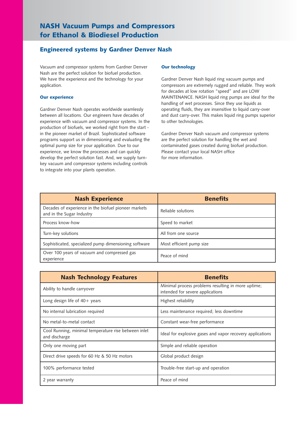### Engineered systems by Gardner Denver Nash

Vacuum and compressor systems from Gardner Denver Nash are the perfect solution for biofuel production. We have the experience and the technology for your application.

#### Our experience

Gardner Denver Nash operates worldwide seamlessly between all locations. Our engineers have decades of experience with vacuum and compressor systems. In the production of biofuels, we worked right from the start in the pioneer market of Brazil. Sophisticated software programs support us in dimensioning and evaluating the optimal pump size for your application. Due to our experience, we know the processes and can quickly develop the perfect solution fast. And, we supply turnkey vacuum and compressor systems including controls to integrate into your plants operation.

#### Our technology

Gardner Denver Nash liquid ring vacuum pumps and compressors are extremely rugged and reliable. They work for decades at low rotation "speed" and are LOW MAINTENANCE. NASH liquid ring pumps are ideal for the handling of wet processes. Since they use liquids as operating fluids, they are insensitive to liquid carry-over and dust carry-over. This makes liquid ring pumps superior to other technologies.

Gardner Denver Nash vacuum and compressor systems are the perfect solution for handling the wet and contaminated gases created during biofuel production. Please contact your local NASH office for more information.

| <b>Nash Experience</b>                                                            | <b>Benefits</b>          |
|-----------------------------------------------------------------------------------|--------------------------|
| Decades of experience in the biofuel pioneer markets<br>and in the Sugar Industry | Reliable solutions       |
| Process know-how                                                                  | Speed to market          |
| Turn-key solutions                                                                | All from one source      |
| Sophisticated, specialized pump dimensioning software                             | Most efficient pump size |
| Over 100 years of vacuum and compressed gas<br>experience                         | Peace of mind            |

| <b>Nash Technology Features</b>                                       | <b>Benefits</b>                                                                        |
|-----------------------------------------------------------------------|----------------------------------------------------------------------------------------|
| Ability to handle carryover                                           | Minimal process problems resulting in more uptime;<br>intended for severe applications |
| Long design life of $40+$ years                                       | Highest reliability                                                                    |
| No internal lubrication required                                      | Less maintenance required; less downtime                                               |
| No metal-to-metal contact                                             | Constant wear-free performance                                                         |
| Cool Running, minimal temperature rise between inlet<br>and discharge | Ideal for explosive gases and vapor recovery applications                              |
| Only one moving part                                                  | Simple and reliable operation                                                          |
| Direct drive speeds for 60 Hz & 50 Hz motors                          | Global product design                                                                  |
| 100% performance tested                                               | Trouble-free start-up and operation                                                    |
| 2 year warranty                                                       | Peace of mind                                                                          |